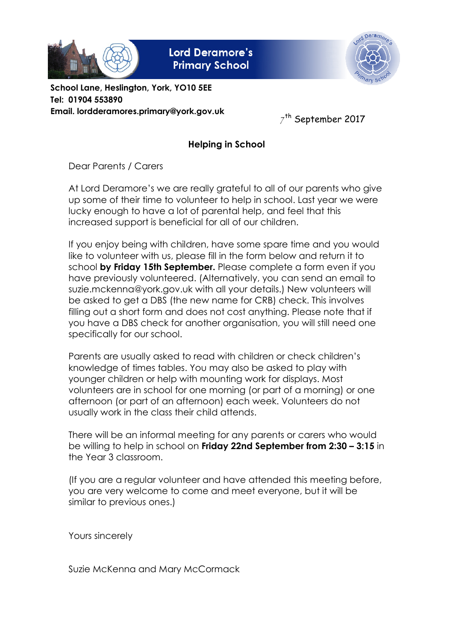

**Lord Deramore's Primary School** 



School Lane, Heslington, York, YO10 5EE Tel: 01904 553890 Email. lordderamores.primary@york.gov.uk

 $7^{\text{th}}$  September 2017

## Helping in School

Dear Parents / Carers

At Lord Deramore's we are really grateful to all of our parents who give up some of their time to volunteer to help in school. Last year we were lucky enough to have a lot of parental help, and feel that this increased support is beneficial for all of our children.

If you enjoy being with children, have some spare time and you would like to volunteer with us, please fill in the form below and return it to school by Friday 15th September. Please complete a form even if you have previously volunteered. (Alternatively, you can send an email to suzie.mckenna@york.gov.uk with all your details.) New volunteers will be asked to get a DBS (the new name for CRB) check. This involves filling out a short form and does not cost anything. Please note that if you have a DBS check for another organisation, you will still need one specifically for our school.

Parents are usually asked to read with children or check children's knowledge of times tables. You may also be asked to play with younger children or help with mounting work for displays. Most volunteers are in school for one morning (or part of a morning) or one afternoon (or part of an afternoon) each week. Volunteers do not usually work in the class their child attends.

There will be an informal meeting for any parents or carers who would be willing to help in school on **Friday 22nd September from 2:30 - 3:15** in the Year 3 classroom.

(If you are a regular volunteer and have attended this meeting before, you are very welcome to come and meet everyone, but it will be similar to previous ones.)

Yours sincerely

Suzie McKenna and Mary McCormack